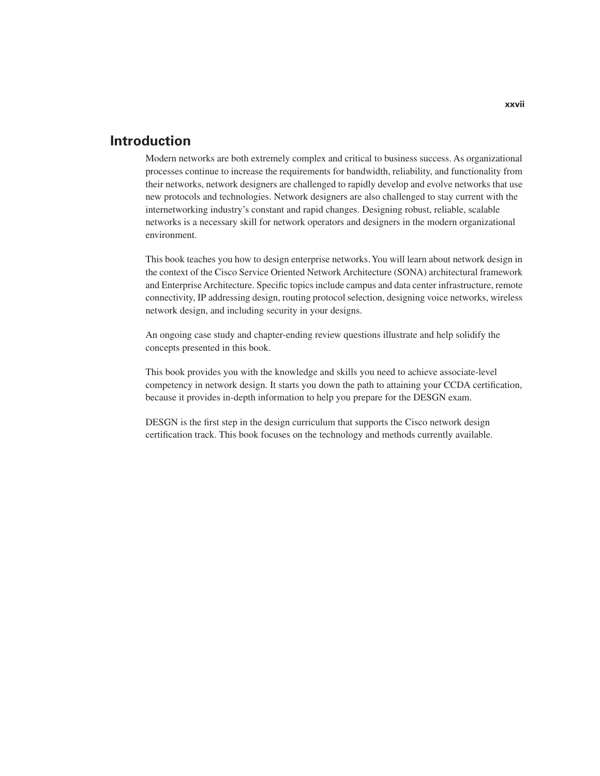# **Introduction**

Modern networks are both extremely complex and critical to business success. As organizational processes continue to increase the requirements for bandwidth, reliability, and functionality from their networks, network designers are challenged to rapidly develop and evolve networks that use new protocols and technologies. Network designers are also challenged to stay current with the internetworking industry's constant and rapid changes. Designing robust, reliable, scalable networks is a necessary skill for network operators and designers in the modern organizational environment.

This book teaches you how to design enterprise networks. You will learn about network design in the context of the Cisco Service Oriented Network Architecture (SONA) architectural framework and Enterprise Architecture. Specific topics include campus and data center infrastructure, remote connectivity, IP addressing design, routing protocol selection, designing voice networks, wireless network design, and including security in your designs.

An ongoing case study and chapter-ending review questions illustrate and help solidify the concepts presented in this book.

This book provides you with the knowledge and skills you need to achieve associate-level competency in network design. It starts you down the path to attaining your CCDA certification, because it provides in-depth information to help you prepare for the DESGN exam.

DESGN is the first step in the design curriculum that supports the Cisco network design certification track. This book focuses on the technology and methods currently available.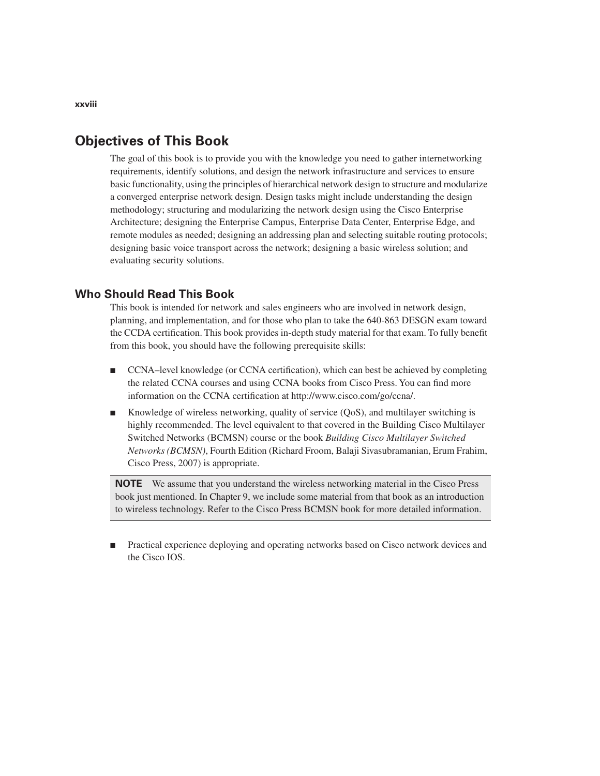# **Objectives of This Book**

The goal of this book is to provide you with the knowledge you need to gather internetworking requirements, identify solutions, and design the network infrastructure and services to ensure basic functionality, using the principles of hierarchical network design to structure and modularize a converged enterprise network design. Design tasks might include understanding the design methodology; structuring and modularizing the network design using the Cisco Enterprise Architecture; designing the Enterprise Campus, Enterprise Data Center, Enterprise Edge, and remote modules as needed; designing an addressing plan and selecting suitable routing protocols; designing basic voice transport across the network; designing a basic wireless solution; and evaluating security solutions.

## **Who Should Read This Book**

This book is intended for network and sales engineers who are involved in network design, planning, and implementation, and for those who plan to take the 640-863 DESGN exam toward the CCDA certification. This book provides in-depth study material for that exam. To fully benefit from this book, you should have the following prerequisite skills:

- CCNA–level knowledge (or CCNA certification), which can best be achieved by completing the related CCNA courses and using CCNA books from Cisco Press. You can find more information on the CCNA certification at http://www.cisco.com/go/ccna/.
- Knowledge of wireless networking, quality of service (QoS), and multilayer switching is highly recommended. The level equivalent to that covered in the Building Cisco Multilayer Switched Networks (BCMSN) course or the book *Building Cisco Multilayer Switched Networks (BCMSN)*, Fourth Edition (Richard Froom, Balaji Sivasubramanian, Erum Frahim, Cisco Press, 2007) is appropriate.

**NOTE** We assume that you understand the wireless networking material in the Cisco Press book just mentioned. In Chapter 9, we include some material from that book as an introduction to wireless technology. Refer to the Cisco Press BCMSN book for more detailed information.

Practical experience deploying and operating networks based on Cisco network devices and the Cisco IOS.

**xxviii**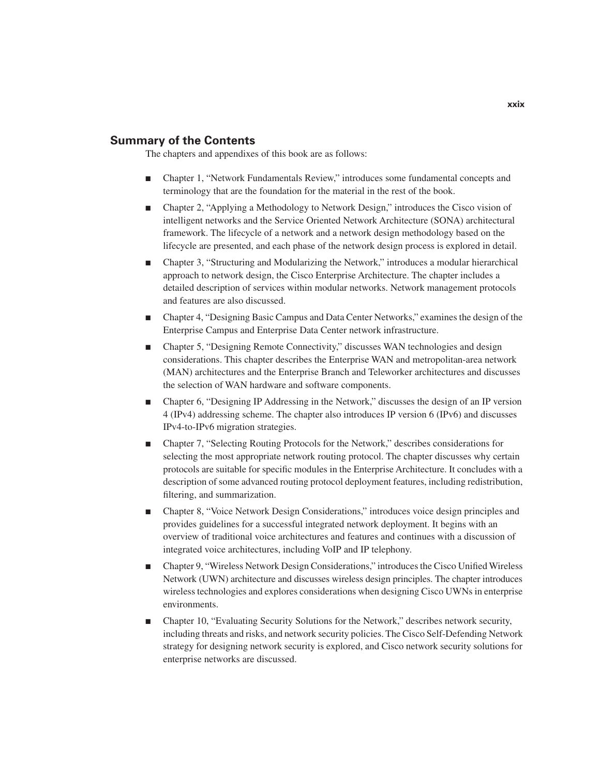## **Summary of the Contents**

The chapters and appendixes of this book are as follows:

- Chapter 1, "Network Fundamentals Review," introduces some fundamental concepts and terminology that are the foundation for the material in the rest of the book.
- Chapter 2, "Applying a Methodology to Network Design," introduces the Cisco vision of intelligent networks and the Service Oriented Network Architecture (SONA) architectural framework. The lifecycle of a network and a network design methodology based on the lifecycle are presented, and each phase of the network design process is explored in detail.
- Chapter 3, "Structuring and Modularizing the Network," introduces a modular hierarchical approach to network design, the Cisco Enterprise Architecture. The chapter includes a detailed description of services within modular networks. Network management protocols and features are also discussed.
- Chapter 4, "Designing Basic Campus and Data Center Networks," examines the design of the Enterprise Campus and Enterprise Data Center network infrastructure.
- Chapter 5, "Designing Remote Connectivity," discusses WAN technologies and design considerations. This chapter describes the Enterprise WAN and metropolitan-area network (MAN) architectures and the Enterprise Branch and Teleworker architectures and discusses the selection of WAN hardware and software components.
- Chapter 6, "Designing IP Addressing in the Network," discusses the design of an IP version 4 (IPv4) addressing scheme. The chapter also introduces IP version 6 (IPv6) and discusses IPv4-to-IPv6 migration strategies.
- Chapter 7, "Selecting Routing Protocols for the Network," describes considerations for selecting the most appropriate network routing protocol. The chapter discusses why certain protocols are suitable for specific modules in the Enterprise Architecture. It concludes with a description of some advanced routing protocol deployment features, including redistribution, filtering, and summarization.
- Chapter 8, "Voice Network Design Considerations," introduces voice design principles and provides guidelines for a successful integrated network deployment. It begins with an overview of traditional voice architectures and features and continues with a discussion of integrated voice architectures, including VoIP and IP telephony.
- Chapter 9, "Wireless Network Design Considerations," introduces the Cisco Unified Wireless Network (UWN) architecture and discusses wireless design principles. The chapter introduces wireless technologies and explores considerations when designing Cisco UWNs in enterprise environments.
- Chapter 10, "Evaluating Security Solutions for the Network," describes network security, including threats and risks, and network security policies. The Cisco Self-Defending Network strategy for designing network security is explored, and Cisco network security solutions for enterprise networks are discussed.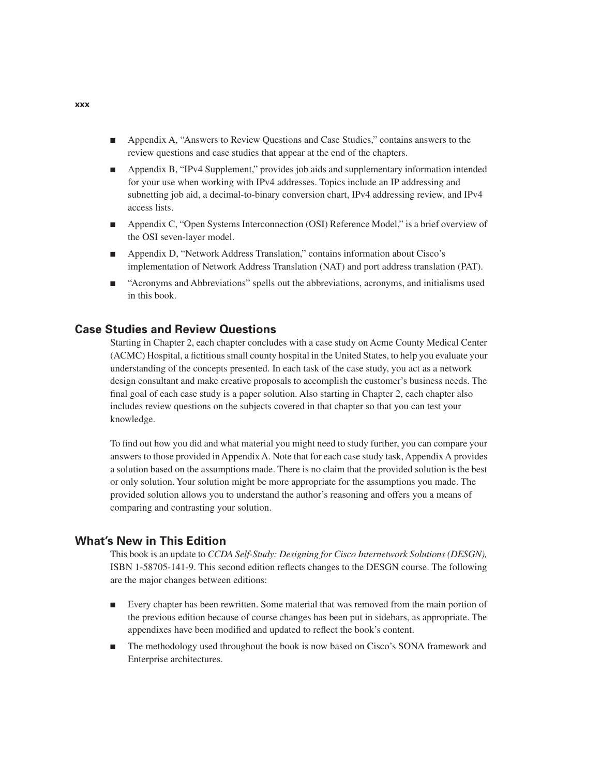- Appendix A, "Answers to Review Questions and Case Studies," contains answers to the review questions and case studies that appear at the end of the chapters.
- Appendix B, "IPv4 Supplement," provides job aids and supplementary information intended for your use when working with IPv4 addresses. Topics include an IP addressing and subnetting job aid, a decimal-to-binary conversion chart, IPv4 addressing review, and IPv4 access lists.
- Appendix C, "Open Systems Interconnection (OSI) Reference Model," is a brief overview of the OSI seven-layer model.
- Appendix D, "Network Address Translation," contains information about Cisco's implementation of Network Address Translation (NAT) and port address translation (PAT).
- "Acronyms and Abbreviations" spells out the abbreviations, acronyms, and initialisms used in this book.

#### **Case Studies and Review Questions**

Starting in Chapter 2, each chapter concludes with a case study on Acme County Medical Center (ACMC) Hospital, a fictitious small county hospital in the United States, to help you evaluate your understanding of the concepts presented. In each task of the case study, you act as a network design consultant and make creative proposals to accomplish the customer's business needs. The final goal of each case study is a paper solution. Also starting in Chapter 2, each chapter also includes review questions on the subjects covered in that chapter so that you can test your knowledge.

To find out how you did and what material you might need to study further, you can compare your answers to those provided in Appendix A. Note that for each case study task, Appendix A provides a solution based on the assumptions made. There is no claim that the provided solution is the best or only solution. Your solution might be more appropriate for the assumptions you made. The provided solution allows you to understand the author's reasoning and offers you a means of comparing and contrasting your solution.

#### **What's New in This Edition**

This book is an update to *CCDA Self-Study: Designing for Cisco Internetwork Solutions (DESGN),*  ISBN 1-58705-141-9. This second edition reflects changes to the DESGN course. The following are the major changes between editions:

- Every chapter has been rewritten. Some material that was removed from the main portion of the previous edition because of course changes has been put in sidebars, as appropriate. The appendixes have been modified and updated to reflect the book's content.
- The methodology used throughout the book is now based on Cisco's SONA framework and Enterprise architectures.

**xxx**